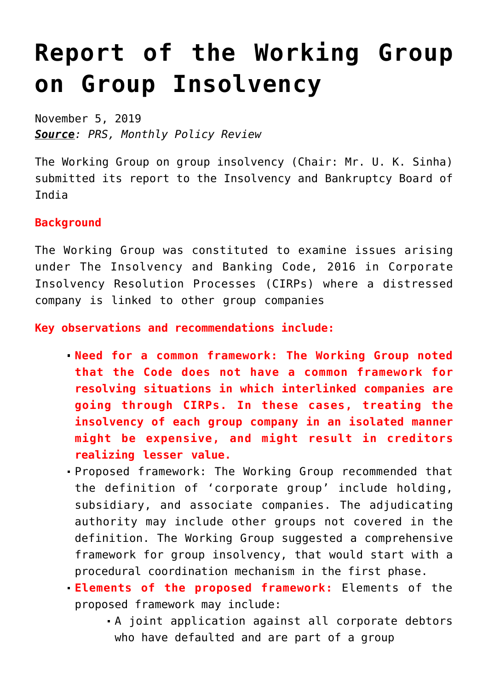## **[Report of the Working Group](https://journalsofindia.com/report-of-the-working-group-on-group-insolvency/) [on Group Insolvency](https://journalsofindia.com/report-of-the-working-group-on-group-insolvency/)**

November 5, 2019 *Source: PRS, Monthly Policy Review*

The Working Group on group insolvency (Chair: Mr. U. K. Sinha) submitted its report to the Insolvency and Bankruptcy Board of India

## **Background**

The Working Group was constituted to examine issues arising under The Insolvency and Banking Code, 2016 in Corporate Insolvency Resolution Processes (CIRPs) where a distressed company is linked to other group companies

**Key observations and recommendations include:**

- **Need for a common framework: The Working Group noted that the Code does not have a common framework for resolving situations in which interlinked companies are going through CIRPs. In these cases, treating the insolvency of each group company in an isolated manner might be expensive, and might result in creditors realizing lesser value.**
- Proposed framework: The Working Group recommended that the definition of 'corporate group' include holding, subsidiary, and associate companies. The adjudicating authority may include other groups not covered in the definition. The Working Group suggested a comprehensive framework for group insolvency, that would start with a procedural coordination mechanism in the first phase.
- **Elements of the proposed framework:** Elements of the proposed framework may include:
	- A joint application against all corporate debtors who have defaulted and are part of a group